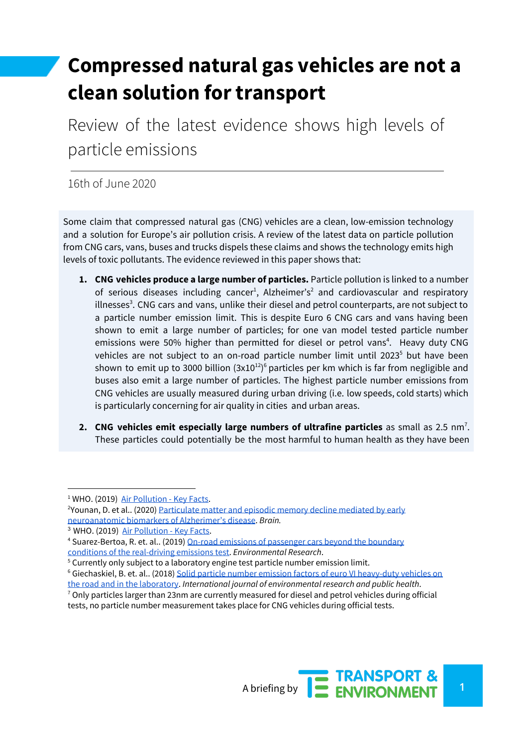# **Compressed natural gas vehicles are not a clean solution for transport**

Review of the latest evidence shows high levels of particle emissions

16th of June 2020

Some claim that compressed natural gas (CNG) vehicles are a clean, low-emission technology and a solution for Europe's air pollution crisis. A review of the latest data on particle pollution from CNG cars, vans, buses and trucks dispels these claims and shows the technology emits high levels of toxic pollutants. The evidence reviewed in this paper shows that:

- **1. CNG vehicles produce a large number of particles.** Particle pollution is linked to a number of serious diseases including cancer<sup>1</sup>, Alzheimer's<sup>2</sup> and cardiovascular and respiratory illnesses<sup>3</sup>. CNG cars and vans, unlike their diesel and petrol counterparts, are not subject to a particle number emission limit. This is despite Euro 6 CNG cars and vans having been shown to emit a large number of particles; for one van model tested particle number emissions were 50% higher than permitted for diesel or petrol vans<sup>4</sup>. Heavy duty CNG vehicles are not subject to an on-road particle number limit until 2023<sup>5</sup> but have been shown to emit up to 3000 billion  $(3x10^{12})^6$  particles per km which is far from negligible and buses also emit a large number of particles. The highest particle number emissions from CNG vehicles are usually measured during urban driving (i.e. low speeds, cold starts) which is particularly concerning for air quality in cities and urban areas.
- **2. CNG vehicles emit especially large numbers of ultrafine particles as small as 2.5 nm<sup>7</sup>.** These particles could potentially be the most harmful to human health as they have been



<sup>&</sup>lt;sup>1</sup> WHO. (2019) Air [Pollution](https://www.who.int/en/news-room/fact-sheets/detail/ambient-(outdoor)-air-quality-and-health) - Key Facts.

<sup>&</sup>lt;sup>2</sup>Younan, D. et al.. (2020) [Particulate](https://academic.oup.com/brain/article-abstract/143/1/289/5628036?redirectedFrom=fulltext) matter and episodic memory decline mediated by early [neuroanatomic](https://academic.oup.com/brain/article-abstract/143/1/289/5628036?redirectedFrom=fulltext) biomarkers of Alzherimer's disease. *Brain.*

<sup>&</sup>lt;sup>3</sup> WHO. (2019) Air [Pollution](https://www.who.int/en/news-room/fact-sheets/detail/ambient-(outdoor)-air-quality-and-health) - Key Facts.

<sup>&</sup>lt;sup>4</sup> Suarez-Bertoa, R. et. al.. (2019) On-road emissions of [passenger](https://www.sciencedirect.com/science/article/pii/S001393511930369X) cars beyond the boundary conditions of the [real-driving](https://www.sciencedirect.com/science/article/pii/S001393511930369X) emissions test. *Environmental Research*.

<sup>&</sup>lt;sup>5</sup> Currently only subject to a laboratory engine test particle number emission limit.

<sup>6</sup> Giechaskiel, B. et. al.. (2018) Solid particle number emission factors of euro VI [heavy-duty](https://www.ncbi.nlm.nih.gov/pubmed/29425174) vehicles on the road and in the [laboratory.](https://www.ncbi.nlm.nih.gov/pubmed/29425174) *International journal of environmental research and public health*.

 $7$  Only particles larger than 23nm are currently measured for diesel and petrol vehicles during official tests, no particle number measurement takes place for CNG vehicles during official tests.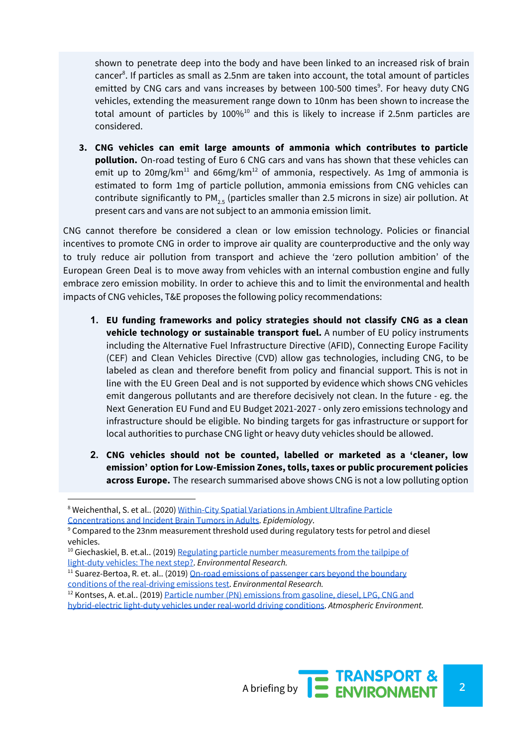shown to penetrate deep into the body and have been linked to an increased risk of brain cancer<sup>8</sup>. If particles as small as 2.5nm are taken into account, the total amount of particles emitted by CNG cars and vans increases by between 100-500 times<sup>9</sup>. For heavy duty CNG vehicles, extending the measurement range down to 10nm has been shown to increase the total amount of particles by  $100\%^{10}$  and this is likely to increase if 2.5nm particles are considered.

**3. CNG vehicles can emit large amounts of ammonia which contributes to particle pollution.** On-road testing of Euro 6 CNG cars and vans has shown that these vehicles can emit up to 20mg/km<sup>11</sup> and 66mg/km<sup>12</sup> of ammonia, respectively. As 1mg of ammonia is estimated to form 1mg of particle pollution, ammonia emissions from CNG vehicles can contribute significantly to PM<sub>2.5</sub> (particles smaller than 2.5 microns in size) air pollution. At present cars and vans are not subject to an ammonia emission limit.

CNG cannot therefore be considered a clean or low emission technology. Policies or financial incentives to promote CNG in order to improve air quality are counterproductive and the only way to truly reduce air pollution from transport and achieve the 'zero pollution ambition' of the European Green Deal is to move away from vehicles with an internal combustion engine and fully embrace zero emission mobility. In order to achieve this and to limit the environmental and health impacts of CNG vehicles, T&E proposes the following policy recommendations:

- **1. EU funding frameworks and policy strategies should not classify CNG as a clean vehicle technology or sustainable transport fuel.** A number of EU policy instruments including the Alternative Fuel Infrastructure Directive (AFID), Connecting Europe Facility (CEF) and Clean Vehicles Directive (CVD) allow gas technologies, including CNG, to be labeled as clean and therefore benefit from policy and financial support. This is not in line with the EU Green Deal and is not supported by evidence which shows CNG vehicles emit dangerous pollutants and are therefore decisively not clean. In the future - eg. the Next Generation EU Fund and EU Budget 2021-2027 - only zero emissions technology and infrastructure should be eligible. No binding targets for gas infrastructure or support for local authorities to purchase CNG light or heavy duty vehicles should be allowed.
- **2. CNG vehicles should not be counted, labelled or marketed as a 'cleaner, low emission' option for Low-Emission Zones, tolls, taxes or public procurement policies across Europe.** The research summarised above shows CNG is not a low polluting option

<sup>&</sup>lt;sup>8</sup> Weichenthal, S. et al.. (2020) [Within-City](https://journals.lww.com/epidem/Fulltext/2020/03000/Within_city_Spatial_Variations_in_Ambient.4.aspx) Spatial Variations in Ambient Ultrafine Particle [Concentrations](https://journals.lww.com/epidem/Fulltext/2020/03000/Within_city_Spatial_Variations_in_Ambient.4.aspx) and Incident Brain Tumors in Adults. *Epidemiology*.

<sup>9</sup> Compared to the 23nm measurement threshold used during regulatory tests for petrol and diesel vehicles.

<sup>&</sup>lt;sup>10</sup> Giechaskiel, B. et.al.. (2019) Regulating particle number [measurements](https://reader.elsevier.com/reader/sd/pii/S0013935119300805?token=EBF3BD393EA262D8106A41EE9D0BFF0E1337FE4775AB0E8E98C7484333E811609B907C840D56F2ED4BE6F46541A41B97) from the tailpipe of [light-duty](https://reader.elsevier.com/reader/sd/pii/S0013935119300805?token=EBF3BD393EA262D8106A41EE9D0BFF0E1337FE4775AB0E8E98C7484333E811609B907C840D56F2ED4BE6F46541A41B97) vehicles: The next step?. *Environmental Research.*

<sup>&</sup>lt;sup>11</sup> Suarez-Bertoa, R. et. al.. (2019) On-road emissions of [passenger](https://www.sciencedirect.com/science/article/pii/S001393511930369X) cars beyond the boundary conditions of the [real-driving](https://www.sciencedirect.com/science/article/pii/S001393511930369X) emissions test. *Environmental Research.*

<sup>12</sup> Kontses, A. et.al.. (2019) Particle number (PN) [emissions](https://www.sciencedirect.com/science/article/abs/pii/S1352231019307654) from gasoline, diesel, LPG, CNG and [hybrid-electric](https://www.sciencedirect.com/science/article/abs/pii/S1352231019307654) light-duty vehicles under real-world driving conditions. *Atmospheric Environment.*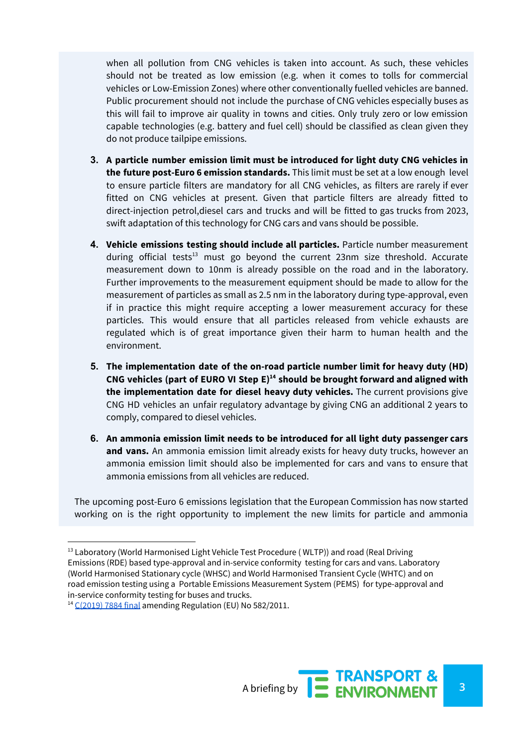when all pollution from CNG vehicles is taken into account. As such, these vehicles should not be treated as low emission (e.g. when it comes to tolls for commercial vehicles or Low-Emission Zones) where other conventionally fuelled vehicles are banned. Public procurement should not include the purchase of CNG vehicles especially buses as this will fail to improve air quality in towns and cities. Only truly zero or low emission capable technologies (e.g. battery and fuel cell) should be classified as clean given they do not produce tailpipe emissions.

- **3. A particle number emission limit must be introduced for light duty CNG vehicles in the future post-Euro 6 emission standards.** This limit must be set at a low enough level to ensure particle filters are mandatory for all CNG vehicles, as filters are rarely if ever fitted on CNG vehicles at present. Given that particle filters are already fitted to direct-injection petrol,diesel cars and trucks and will be fitted to gas trucks from 2023, swift adaptation of this technology for CNG cars and vans should be possible.
- **4. Vehicle emissions testing should include all particles.** Particle number measurement during official tests<sup>13</sup> must go beyond the current 23nm size threshold. Accurate measurement down to 10nm is already possible on the road and in the laboratory. Further improvements to the measurement equipment should be made to allow for the measurement of particles as small as 2.5 nm in the laboratory during type-approval, even if in practice this might require accepting a lower measurement accuracy for these particles. This would ensure that all particles released from vehicle exhausts are regulated which is of great importance given their harm to human health and the environment.
- **5. The implementation date of the on-road particle number limit for heavy duty (HD) CNG vehicles (part of EURO VI Step E) should be brought forward and aligned with 14 the implementation date for diesel heavy duty vehicles.** The current provisions give CNG HD vehicles an unfair regulatory advantage by giving CNG an additional 2 years to comply, compared to diesel vehicles.
- **6. An ammonia emission limit needs to be introduced for all light duty passenger cars and vans.** An ammonia emission limit already exists for heavy duty trucks, however an ammonia emission limit should also be implemented for cars and vans to ensure that ammonia emissions from all vehicles are reduced.

The upcoming post-Euro 6 emissions legislation that the European Commission has now started working on is the right opportunity to implement the new limits for particle and ammonia

<sup>&</sup>lt;sup>13</sup> Laboratory (World Harmonised Light Vehicle Test Procedure (WLTP)) and road (Real Driving Emissions (RDE) based type-approval and in-service conformity testing for cars and vans. Laboratory (World Harmonised Stationary cycle (WHSC) and World Harmonised Transient Cycle (WHTC) and on road emission testing using a Portable Emissions Measurement System (PEMS) for type-approval and in-service conformity testing for buses and trucks.

<sup>&</sup>lt;sup>14</sup> [C\(2019\)](https://ec.europa.eu/info/law/better-regulation/have-your-say/initiatives/11814-Amendment-to-the-emissions-type-approval-testing-for-heavy-duty-vehicles-with-portable-emissions-measurement-systems) 7884 final amending Regulation (EU) No 582/2011.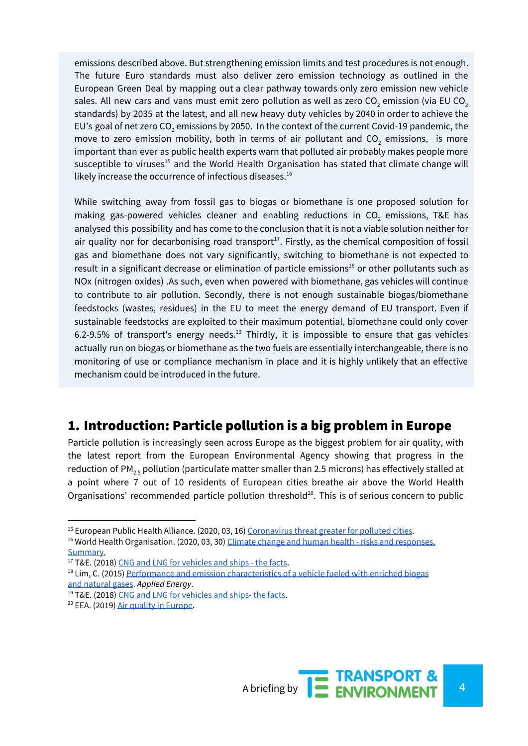emissions described above. But strengthening emission limits and test procedures is not enough. The future Euro standards must also deliver zero emission technology as outlined in the European Green Deal by mapping out a clear pathway towards only zero emission new vehicle sales. All new cars and vans must emit zero pollution as well as zero  $CO<sub>2</sub>$  emission (via EU CO<sub>2</sub> standards) by 2035 at the latest, and all new heavy duty vehicles by 2040 in order to achieve the EU's goal of net zero CO<sub>2</sub> emissions by 2050. In the context of the current Covid-19 pandemic, the move to zero emission mobility, both in terms of air pollutant and  $CO<sub>2</sub>$  emissions, is more important than ever as public health experts warn that polluted air probably makes people more susceptible to viruses<sup>15</sup> and the World Health Organisation has stated that climate change will likely increase the occurrence of infectious diseases. 16

While switching away from fossil gas to biogas or biomethane is one proposed solution for making gas-powered vehicles cleaner and enabling reductions in  $CO<sub>2</sub>$  emissions, T&E has analysed this possibility and has come to the conclusion that it is not a viable solution neither for air quality nor for decarbonising road transport $17$ . Firstly, as the chemical composition of fossil gas and biomethane does not vary significantly, switching to biomethane is not expected to result in a significant decrease or elimination of particle emissions<sup>18</sup> or other pollutants such as NOx (nitrogen oxides) .As such, even when powered with biomethane, gas vehicles will continue to contribute to air pollution. Secondly, there is not enough sustainable biogas/biomethane feedstocks (wastes, residues) in the EU to meet the energy demand of EU transport. Even if sustainable feedstocks are exploited to their maximum potential, biomethane could only cover 6.2-9.5% of transport's energy needs.<sup>19</sup> Thirdly, it is impossible to ensure that gas vehicles actually run on biogas or biomethane as the two fuels are essentially interchangeable, there is no monitoring of use or compliance mechanism in place and it is highly unlikely that an effective mechanism could be introduced in the future.

## 1. Introduction: Particle pollution is a big problem in Europe

Particle pollution is increasingly seen across Europe as the biggest problem for air quality, with the latest report from the European Environmental Agency showing that progress in the reduction of PM<sub>2.5</sub> pollution (particulate matter smaller than 2.5 microns) has effectively stalled at a point where 7 out of 10 residents of European cities breathe air above the World Health Organisations' recommended particle pollution threshold $20$ . This is of serious concern to public



<sup>&</sup>lt;sup>15</sup> European Public Health Alliance. (2020, 03, 16) [Coronavirus](https://epha.org/coronavirus-threat-greater-for-polluted-cities/) threat greater for polluted cities.

<sup>&</sup>lt;sup>16</sup> World Health Organisation. (2020, 03, 30) Climate change and human health - risks and [responses.](https://www.who.int/globalchange/summary/en/index5.html) [Summary.](https://www.who.int/globalchange/summary/en/index5.html)

<sup>&</sup>lt;sup>17</sup> T&E. (2018) CNG and LNG for [vehicles](https://www.transportenvironment.org/sites/te/files/publications/2018_10_TE_CNG_and_LNG_for_vehicles_and_ships_the_facts_EN.pdf) and ships - the facts.

<sup>&</sup>lt;sup>18</sup> Lim, C. (2015) Performance and emission [characteristics](https://www.sciencedirect.com/science/article/abs/pii/S0306261914011349) of a vehicle fueled with enriched biogas and [natural](https://www.sciencedirect.com/science/article/abs/pii/S0306261914011349) gases. *Applied Energy*.

<sup>&</sup>lt;sup>19</sup> T&E. (2018) CNG and LNG for [vehicles](https://www.transportenvironment.org/sites/te/files/publications/2018_10_TE_CNG_and_LNG_for_vehicles_and_ships_the_facts_EN.pdf) and ships- the facts.

<sup>&</sup>lt;sup>20</sup> EEA. (2019) Air quality in [Europe.](https://www.eea.europa.eu/publications/air-quality-in-europe-2019)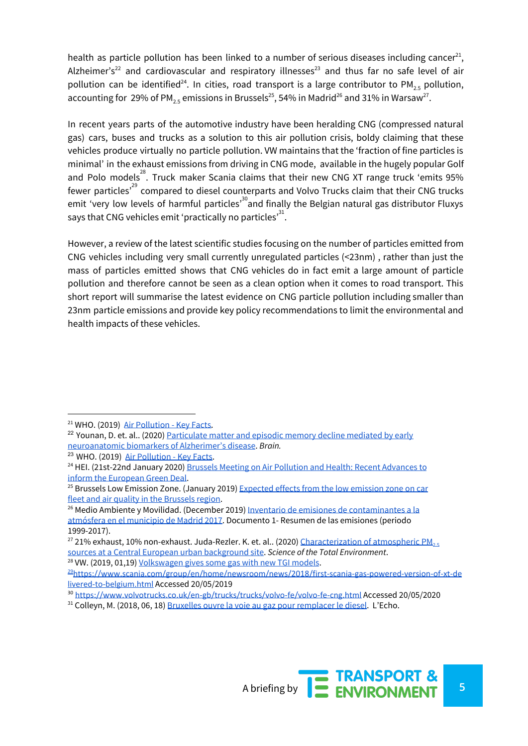health as particle pollution has been linked to a number of serious diseases including cancer<sup>21</sup>, Alzheimer's<sup>22</sup> and cardiovascular and respiratory illnesses<sup>23</sup> and thus far no safe level of air pollution can be identified<sup>24</sup>. In cities, road transport is a large contributor to PM<sub>2.5</sub> pollution, accounting for  $29\%$  of PM $_{2.5}$  emissions in Brussels $^{25}$ , 54% in Madrid $^{26}$  and 31% in Warsaw $^{27}$ .

In recent years parts of the automotive industry have been heralding CNG (compressed natural gas) cars, buses and trucks as a solution to this air pollution crisis, boldy claiming that these vehicles produce virtually no particle pollution. VW maintains that the 'fraction of fine particles is minimal' in the exhaust emissions from driving in CNG mode, available in the hugely popular Golf and Polo models<sup>28</sup>. Truck maker Scania claims that their new CNG XT range truck 'emits 95% fewer particles<sup>,29</sup> compared to diesel counterparts and Volvo Trucks claim that their CNG trucks emit 'very low levels of harmful particles'<sup>30</sup>and finally the Belgian natural gas distributor Fluxys says that CNG vehicles emit 'practically no particles' $^{\rm 31}.$ 

However, a review of the latest scientific studies focusing on the number of particles emitted from CNG vehicles including very small currently unregulated particles (<23nm) , rather than just the mass of particles emitted shows that CNG vehicles do in fact emit a large amount of particle pollution and therefore cannot be seen as a clean option when it comes to road transport. This short report will summarise the latest evidence on CNG particle pollution including smaller than 23nm particle emissions and provide key policy recommendations to limit the environmental and health impacts of these vehicles.

<sup>26</sup> Medio Ambiente y Movilidad. (December 2019) Inventario de emisiones de [contaminantes](https://www.madrid.es/UnidadesDescentralizadas/Sostenibilidad/EspeInf/EnergiayCC/04CambioClimatico/4aInventario/Ficheros/Inventario_emisiones_INV2017.pdf) a la [atmósfera](https://www.madrid.es/UnidadesDescentralizadas/Sostenibilidad/EspeInf/EnergiayCC/04CambioClimatico/4aInventario/Ficheros/Inventario_emisiones_INV2017.pdf) en el municipio de Madrid 2017. Documento 1- Resumen de las emisiones (periodo 1999-2017).

<sup>28</sup> VW. (2019, 01,19) [Volkswagen](https://www.volkswagen-newsroom.com/en/press-releases/volkswagen-gives-some-gas-with-new-tgi-models-4621) gives some gas with new TGI models.



<sup>&</sup>lt;sup>21</sup> WHO. (2019) Air [Pollution](https://www.who.int/en/news-room/fact-sheets/detail/ambient-(outdoor)-air-quality-and-health) - Key Facts.

<sup>&</sup>lt;sup>22</sup> Younan, D. et. al.. (2020) [Particulate](https://academic.oup.com/brain/article-abstract/143/1/289/5628036?redirectedFrom=fulltext) matter and episodic memory decline mediated by early [neuroanatomic](https://academic.oup.com/brain/article-abstract/143/1/289/5628036?redirectedFrom=fulltext) biomarkers of Alzherimer's disease. *Brain.*

<sup>&</sup>lt;sup>23</sup> WHO. (2019) Air [Pollution](https://www.who.int/en/news-room/fact-sheets/detail/ambient-(outdoor)-air-quality-and-health) - Key Facts.

<sup>&</sup>lt;sup>24</sup> HEI. (21st-22nd January 2020) Brussels Meeting on Air Pollution and Health: Recent [Advances](https://www.healtheffects.org/meeting/brussels-meeting-air-pollution-and-health-recent-advances-inform-european-green-deal) to inform the [European](https://www.healtheffects.org/meeting/brussels-meeting-air-pollution-and-health-recent-advances-inform-european-green-deal) Green Deal.

 $25$  Brussels Low Emission Zone. (January 2019) [Expected](https://lez.brussels/medias/lez-note-en-vdef.pdf?context=bWFzdGVyfGRvY3VtZW50c3w4NzEwNjI3fGFwcGxpY2F0aW9uL3BkZnxkb2N1bWVudHMvaGFiL2gzYy84ODAxNjI2Njg1NDcwLnBkZnxlNGNhYmZmYThmYjQ0MTczODE3MmU3MzYyYzc2ODdiOGZjYWFkOGYyNzNjZWM4OTA4MmJiYmU2NTgwMGVhOGFl) effects from the low emission zone on car fleet and air quality in the [Brussels](https://lez.brussels/medias/lez-note-en-vdef.pdf?context=bWFzdGVyfGRvY3VtZW50c3w4NzEwNjI3fGFwcGxpY2F0aW9uL3BkZnxkb2N1bWVudHMvaGFiL2gzYy84ODAxNjI2Njg1NDcwLnBkZnxlNGNhYmZmYThmYjQ0MTczODE3MmU3MzYyYzc2ODdiOGZjYWFkOGYyNzNjZWM4OTA4MmJiYmU2NTgwMGVhOGFl) region.

<sup>&</sup>lt;sup>27</sup> 21% exhaust, 10% non-exhaust. Juda-Rezler. K. et. al.. (2020) [Characterization](https://reader.elsevier.com/reader/sd/pii/S0048969720302394?token=1A6C6216EB5084542C9ABD778E2CF997D6414E3179A7C8B05C6AB349CFD31CF3F0A43BDF631EEEF2D6F42F5F83CD3CB0) of atmospheric PM<sub>[2.5](https://reader.elsevier.com/reader/sd/pii/S0048969720302394?token=1A6C6216EB5084542C9ABD778E2CF997D6414E3179A7C8B05C6AB349CFD31CF3F0A43BDF631EEEF2D6F42F5F83CD3CB0)</sub> sources at a Central European urban [background](https://reader.elsevier.com/reader/sd/pii/S0048969720302394?token=1A6C6216EB5084542C9ABD778E2CF997D6414E3179A7C8B05C6AB349CFD31CF3F0A43BDF631EEEF2D6F42F5F83CD3CB0) site. *Science of the Total Environment*.

<sup>29</sup>[https://www.scania.com/group/en/home/newsroom/news/2018/first-scania-gas-powered-version-of-xt-de](https://www.scania.com/group/en/home/newsroom/news/2018/first-scania-gas-powered-version-of-xt-delivered-to-belgium.html) [livered-to-belgium.html](https://www.scania.com/group/en/home/newsroom/news/2018/first-scania-gas-powered-version-of-xt-delivered-to-belgium.html) Accessed 20/05/2019

<sup>30</sup> <https://www.volvotrucks.co.uk/en-gb/trucks/trucks/volvo-fe/volvo-fe-cng.html> Accessed 20/05/2020

<sup>31</sup> Colleyn, M. (2018, 06, 18) Bruxelles ouvre la voie au gaz pour [remplacer](https://www.lecho.be/economie-politique/belgique/bruxelles/bruxelles-ouvre-la-voie-au-gaz-pour-remplacer-le-diesel/10022124.html) le diesel. L'Echo.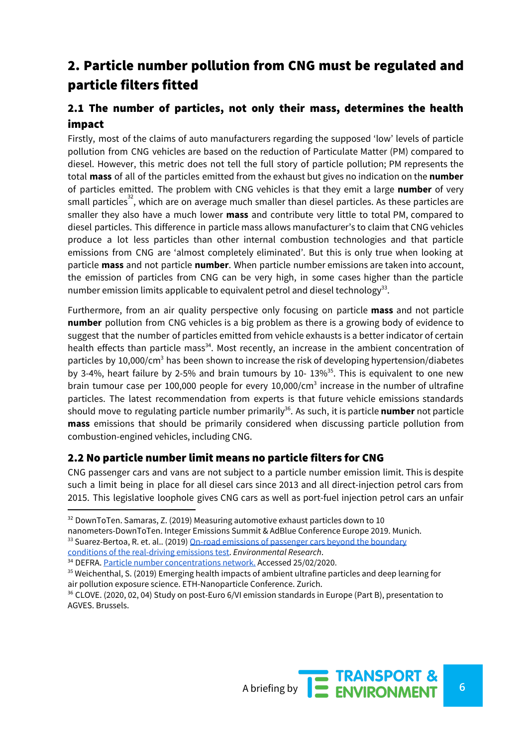# 2. Particle number pollution from CNG must be regulated and particle filters fitted

### 2.1 The number of particles, not only their mass, determines the health impact

Firstly, most of the claims of auto manufacturers regarding the supposed 'low' levels of particle pollution from CNG vehicles are based on the reduction of Particulate Matter (PM) compared to diesel. However, this metric does not tell the full story of particle pollution; PM represents the total **mass** of all of the particles emitted from the exhaust but gives no indication on the **number** of particles emitted. The problem with CNG vehicles is that they emit a large **number** of very small particles<sup>32</sup>, which are on average much smaller than diesel particles. As these particles are smaller they also have a much lower **mass** and contribute very little to total PM, compared to diesel particles. This difference in particle mass allows manufacturer's to claim that CNG vehicles produce a lot less particles than other internal combustion technologies and that particle emissions from CNG are 'almost completely eliminated'. But this is only true when looking at particle **mass** and not particle **number**. When particle number emissions are taken into account, the emission of particles from CNG can be very high, in some cases higher than the particle number emission limits applicable to equivalent petrol and diesel technology $^{33}$ .

Furthermore, from an air quality perspective only focusing on particle **mass** and not particle **number** pollution from CNG vehicles is a big problem as there is a growing body of evidence to suggest that the number of particles emitted from vehicle exhausts is a better indicator of certain health effects than particle mass<sup>34</sup>. Most recently, an increase in the ambient concentration of particles by 10,000/cm<sup>3</sup> has been shown to increase the risk of developing hypertension/diabetes by 3-4%, heart failure by 2-5% and brain tumours by 10-  $13\%$ <sup>35</sup>. This is equivalent to one new brain tumour case per 100,000 people for every 10,000/cm<sup>3</sup> increase in the number of ultrafine particles. The latest recommendation from experts is that future vehicle emissions standards should move to regulating particle number primarily<sup>36</sup>. As such, it is particle **number** not particle **mass** emissions that should be primarily considered when discussing particle pollution from combustion-engined vehicles, including CNG.

#### 2.2 No particle number limit means no particle filters for CNG

CNG passenger cars and vans are not subject to a particle number emission limit. This is despite such a limit being in place for all diesel cars since 2013 and all direct-injection petrol cars from 2015. This legislative loophole gives CNG cars as well as port-fuel injection petrol cars an unfair

<sup>&</sup>lt;sup>32</sup> DownToTen. Samaras, Z. (2019) Measuring automotive exhaust particles down to 10

nanometers-DownToTen. Integer Emissions Summit & AdBlue Conference Europe 2019. Munich.

<sup>&</sup>lt;sup>33</sup> Suarez-Bertoa, R. et. al.. (2019) On-road emissions of [passenger](https://www.sciencedirect.com/science/article/pii/S001393511930369X) cars beyond the boundary

conditions of the [real-driving](https://www.sciencedirect.com/science/article/pii/S001393511930369X) emissions test. *Environmental Research*.

<sup>&</sup>lt;sup>34</sup> DEFRA. Particle number [concentrations](https://uk-air.defra.gov.uk/networks/network-info?view=particle) network. Accessed [25/02/2020](https://uk-air.defra.gov.uk/networks/network-info?view=particle).

<sup>&</sup>lt;sup>35</sup> Weichenthal, S. (2019) Emerging health impacts of ambient ultrafine particles and deep learning for air pollution exposure science. ETH-Nanoparticle Conference. Zurich.

<sup>&</sup>lt;sup>36</sup> CLOVE. (2020, 02, 04) Study on post-Euro 6/VI emission standards in Europe (Part B), presentation to AGVES. Brussels.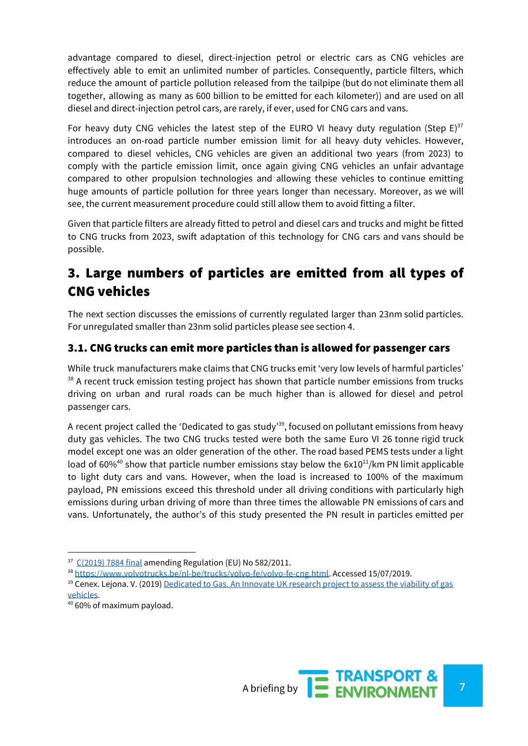advantage compared to diesel, direct-injection petrol or electric cars as CNG vehicles are effectively able to emit an unlimited number of particles. Consequently, particle filters, which reduce the amount of particle pollution released from the tailpipe (but do not eliminate them all together, allowing as many as 600 billion to be emitted for each kilometer)) and are used on all diesel and direct-injection petrol cars, are rarely, if ever, used for CNG cars and vans.

For heavy duty CNG vehicles the latest step of the EURO VI heavy duty regulation (Step E) $^{37}$ introduces an on-road particle number emission limit for all heavy duty vehicles. However, compared to diesel vehicles, CNG vehicles are given an additional two years (from 2023) to comply with the particle emission limit, once again giving CNG vehicles an unfair advantage compared to other propulsion technologies and allowing these vehicles to continue emitting huge amounts of particle pollution for three years longer than necessary. Moreover, as we will see, the current measurement procedure could still allow them to avoid fitting a filter.

Given that particle filters are already fitted to petrol and diesel cars and trucks and might be fitted to CNG trucks from 2023, swift adaptation of this technology for CNG cars and vans should be possible.

# 3. Large numbers of particles are emitted from all types of CNG vehicles

The next section discusses the emissions of currently regulated larger than 23nm solid particles. For unregulated smaller than 23nm solid particles please see section 4.

#### 3.1. CNG trucks can emit more particles than is allowed for passenger cars

While truck manufacturers make claims that CNG trucks emit 'very low levels of harmful particles'  $38$  A recent truck emission testing project has shown that particle number emissions from trucks driving on urban and rural roads can be much higher than is allowed for diesel and petrol passenger cars.

A recent project called the 'Dedicated to gas study'<sup>39</sup>, focused on pollutant emissions from heavy duty gas vehicles. The two CNG trucks tested were both the same Euro VI 26 tonne rigid truck model except one was an older generation of the other. The road based PEMS tests under a light load of 60%<sup>40</sup> show that particle number emissions stay below the  $6x10^{11}/km$  PN limit applicable to light duty cars and vans. However, when the load is increased to 100% of the maximum payload, PN emissions exceed this threshold under all driving conditions with particularly high emissions during urban driving of more than three times the allowable PN emissions of cars and vans. Unfortunately, the author's of this study presented the PN result in particles emitted per



 $37$  [C\(2019\)](https://ec.europa.eu/info/law/better-regulation/have-your-say/initiatives/11814-Amendment-to-the-emissions-type-approval-testing-for-heavy-duty-vehicles-with-portable-emissions-measurement-systems) 7884 final amending Regulation (EU) No 582/2011.

<sup>38</sup> [https://www.volvotrucks.be/nl-be/trucks/volvo-fe/volvo-fe-cng.html.](https://www.volvotrucks.be/nl-be/trucks/volvo-fe/volvo-fe-cng.html) Accessed 15/07/2019.

<sup>&</sup>lt;sup>39</sup> Cenex. Lejona. V. (2019) [Dedicated](https://www.cenex.co.uk/app/uploads/2019/11/324-003-004-Dedicated-to-Gas-Assessing-the-Viability-of-Gas-Vehicles.pdf) to Gas. An Innovate UK research project to assess the viability of gas [vehicles](https://www.cenex.co.uk/app/uploads/2019/11/324-003-004-Dedicated-to-Gas-Assessing-the-Viability-of-Gas-Vehicles.pdf).

<sup>40</sup> 60% of maximum payload.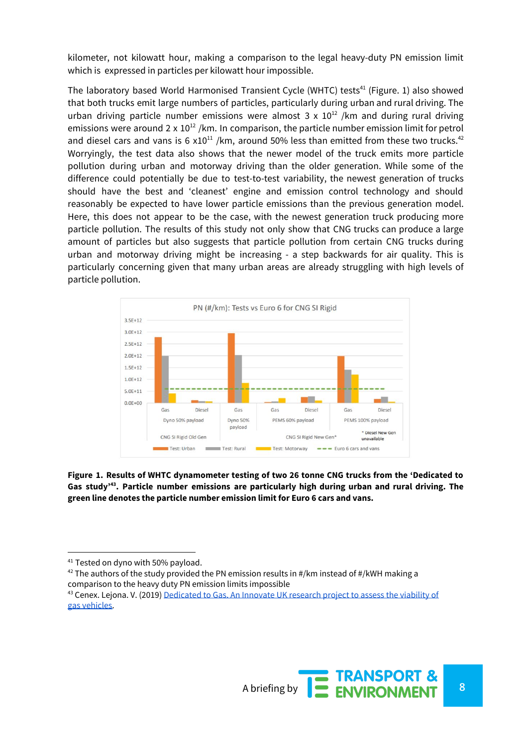kilometer, not kilowatt hour, making a comparison to the legal heavy-duty PN emission limit which is expressed in particles per kilowatt hour impossible.

The laboratory based World Harmonised Transient Cycle (WHTC) tests<sup>41</sup> (Figure. 1) also showed that both trucks emit large numbers of particles, particularly during urban and rural driving. The urban driving particle number emissions were almost  $3 \times 10^{12}$  /km and during rural driving emissions were around 2 x  $10^{12}$  /km. In comparison, the particle number emission limit for petrol and diesel cars and vans is 6  $x10^{11}$  /km, around 50% less than emitted from these two trucks.<sup>42</sup> Worryingly, the test data also shows that the newer model of the truck emits more particle pollution during urban and motorway driving than the older generation. While some of the difference could potentially be due to test-to-test variability, the newest generation of trucks should have the best and 'cleanest' engine and emission control technology and should reasonably be expected to have lower particle emissions than the previous generation model. Here, this does not appear to be the case, with the newest generation truck producing more particle pollution. The results of this study not only show that CNG trucks can produce a large amount of particles but also suggests that particle pollution from certain CNG trucks during urban and motorway driving might be increasing - a step backwards for air quality. This is particularly concerning given that many urban areas are already struggling with high levels of particle pollution.



**Figure 1. Results of WHTC dynamometer testing of two 26 tonne CNG trucks from the 'Dedicated to Gas study' . Particle number emissions are particularly high during urban and rural driving. The 43 green line denotes the particle number emission limit for Euro 6 cars and vans.**

 $42$  The authors of the study provided the PN emission results in #/km instead of #/kWH making a comparison to the heavy duty PN emission limits impossible



<sup>&</sup>lt;sup>41</sup> Tested on dyno with 50% payload.

<sup>&</sup>lt;sup>43</sup> Cenex. Lejona. V. (2019) [Dedicated](https://www.cenex.co.uk/app/uploads/2019/11/324-003-004-Dedicated-to-Gas-Assessing-the-Viability-of-Gas-Vehicles.pdf) to Gas. An Innovate UK research project to assess the viability of gas [vehicles.](https://www.cenex.co.uk/app/uploads/2019/11/324-003-004-Dedicated-to-Gas-Assessing-the-Viability-of-Gas-Vehicles.pdf)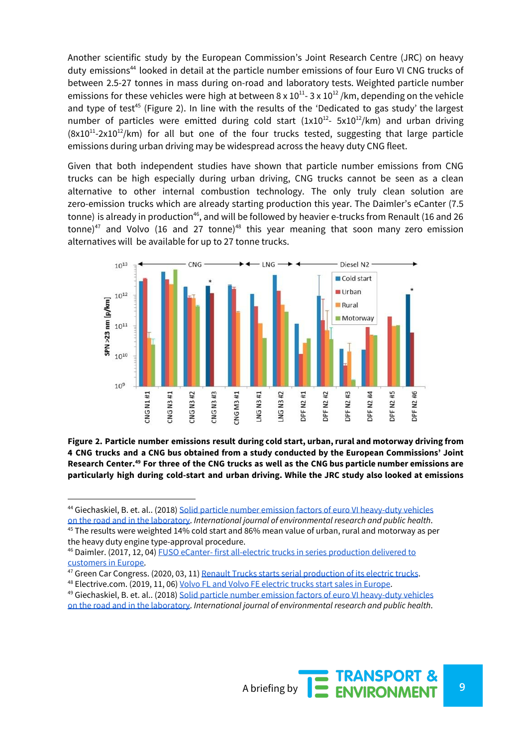Another scientific study by the European Commission's Joint Research Centre (JRC) on heavy duty emissions<sup>44</sup> looked in detail at the particle number emissions of four Euro VI CNG trucks of between 2.5-27 tonnes in mass during on-road and laboratory tests. Weighted particle number emissions for these vehicles were high at between 8 x  $10^{11}$ - 3 x  $10^{12}$  /km, depending on the vehicle and type of test<sup>45</sup> (Figure 2). In line with the results of the 'Dedicated to gas study' the largest number of particles were emitted during cold start  $(1x10^{12} - 5x10^{12}/km)$  and urban driving  $(8x10^{11}-2x10^{12}/km)$  for all but one of the four trucks tested, suggesting that large particle emissions during urban driving may be widespread across the heavy duty CNG fleet.

Given that both independent studies have shown that particle number emissions from CNG trucks can be high especially during urban driving, CNG trucks cannot be seen as a clean alternative to other internal combustion technology. The only truly clean solution are zero-emission trucks which are already starting production this year. The Daimler's eCanter (7.5 tonne) is already in production $^{46}$ , and will be followed by heavier e-trucks from Renault (16 and 26 tonne)<sup>47</sup> and Volvo (16 and 27 tonne)<sup>48</sup> this year meaning that soon many zero emission alternatives will be available for up to 27 tonne trucks.



**Figure 2. Particle number emissions result during cold start, urban, rural and motorway driving from 4 CNG trucks and a CNG bus obtained from a study conducted by the European Commissions' Joint** Research Center.<sup>49</sup> For three of the CNG trucks as well as the CNG bus particle number emissions are **particularly high during cold-start and urban driving. While the JRC study also looked at emissions**

on the road and in the [laboratory.](https://www.ncbi.nlm.nih.gov/pubmed/29425174) *International journal of environmental research and public health*. <sup>45</sup> The results were weighted 14% cold start and 86% mean value of urban, rural and motorway as per the heavy duty engine type-approval procedure.



<sup>&</sup>lt;sup>44</sup> Giechaskiel, B. et. al.. (2018) Solid particle number emission factors of euro VI [heavy-duty](https://www.ncbi.nlm.nih.gov/pubmed/29425174) vehicles

<sup>46</sup> Daimler. (2017, 12, 04) FUSO eCanter- first all-electric trucks in series [production](https://media.daimler.com/marsMediaSite/en/instance/ko/FUSO-eCanter--first-all-electric-trucks-in-series-production-delivered-to-customers-in-Europe.xhtml?oid=32327803) delivered to [customers](https://media.daimler.com/marsMediaSite/en/instance/ko/FUSO-eCanter--first-all-electric-trucks-in-series-production-delivered-to-customers-in-Europe.xhtml?oid=32327803) in Europe.

<sup>&</sup>lt;sup>47</sup> Green Car Congress. (2020, 03, 11) Renault Trucks starts serial [production](https://www.greencarcongress.com/2020/03/renault-trucks-starts-series-production-of-its-electric-trucks.html) of its electric trucks.

<sup>48</sup> Electrive.com. (2019, 11, 06) Volvo FL and Volvo FE [electric](https://www.electrive.com/2019/11/06/volvo-fl-and-volvo-fe-electric-trucks-start-sales-in-europe/) trucks start sales in Europe.

<sup>49</sup> Giechaskiel, B. et. al.. (2018) Solid particle number emission factors of euro VI [heavy-duty](https://www.ncbi.nlm.nih.gov/pubmed/29425174) vehicles on the road and in the [laboratory.](https://www.ncbi.nlm.nih.gov/pubmed/29425174) *International journal of environmental research and public health*.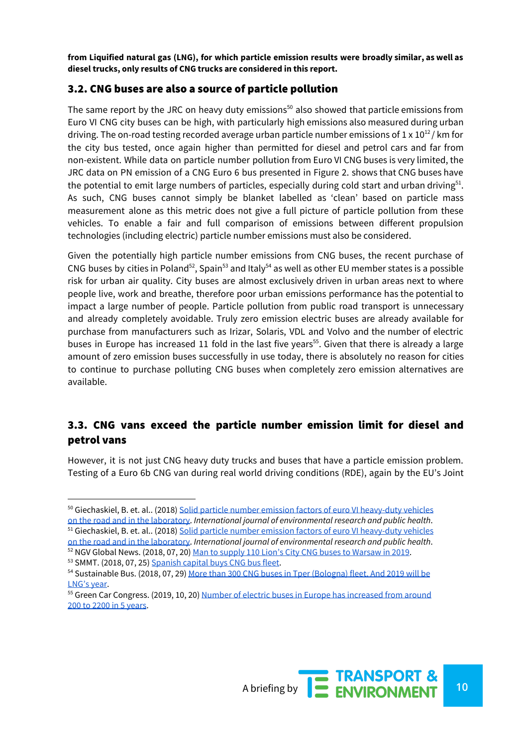**from Liquified natural gas (LNG), for which particle emission results were broadly similar, as well as diesel trucks, only results of CNG trucks are considered in this report.**

#### 3.2. CNG buses are also a source of particle pollution

The same report by the JRC on heavy duty emissions<sup>50</sup> also showed that particle emissions from Euro VI CNG city buses can be high, with particularly high emissions also measured during urban driving. The on-road testing recorded average urban particle number emissions of 1 x  $10^{12}$  / km for the city bus tested, once again higher than permitted for diesel and petrol cars and far from non-existent. While data on particle number pollution from Euro VI CNG buses is very limited, the JRC data on PN emission of a CNG Euro 6 bus presented in Figure 2. shows that CNG buses have the potential to emit large numbers of particles, especially during cold start and urban driving $51$ . As such, CNG buses cannot simply be blanket labelled as 'clean' based on particle mass measurement alone as this metric does not give a full picture of particle pollution from these vehicles. To enable a fair and full comparison of emissions between different propulsion technologies (including electric) particle number emissions must also be considered.

Given the potentially high particle number emissions from CNG buses, the recent purchase of CNG buses by cities in Poland<sup>52</sup>, Spain<sup>53</sup> and Italy<sup>54</sup> as well as other EU member states is a possible risk for urban air quality. City buses are almost exclusively driven in urban areas next to where people live, work and breathe, therefore poor urban emissions performance has the potential to impact a large number of people. Particle pollution from public road transport is unnecessary and already completely avoidable. Truly zero emission electric buses are already available for purchase from manufacturers such as Irizar, Solaris, VDL and Volvo and the number of electric buses in Europe has increased 11 fold in the last five years<sup>55</sup>. Given that there is already a large amount of zero emission buses successfully in use today, there is absolutely no reason for cities to continue to purchase polluting CNG buses when completely zero emission alternatives are available.

#### 3.3. CNG vans exceed the particle number emission limit for diesel and petrol vans

However, it is not just CNG heavy duty trucks and buses that have a particle emission problem. Testing of a Euro 6b CNG van during real world driving conditions (RDE), again by the EU's Joint

on the road and in the [laboratory.](https://www.ncbi.nlm.nih.gov/pubmed/29425174) *International journal of environmental research and public health*.



<sup>&</sup>lt;sup>50</sup> Giechaskiel, B. et. al.. (2018) Solid particle number emission factors of euro VI [heavy-duty](https://www.ncbi.nlm.nih.gov/pubmed/29425174) vehicles on the road and in the [laboratory.](https://www.ncbi.nlm.nih.gov/pubmed/29425174) *International journal of environmental research and public health*. 51 Giechaskiel, B. et. al.. (2018) Solid particle number emission factors of euro VI [heavy-duty](https://www.ncbi.nlm.nih.gov/pubmed/29425174) vehicles

<sup>&</sup>lt;sup>52</sup> NGV Global News. (2018, 07, 20) <u>Man to supply 110 Lion's City CNG buses to [Warsaw](https://www.ngvglobal.com/blog/man-to-supply-110-lions-city-cng-buses-to-warsaw-in-2019-0720) in 2019</u>.

<sup>&</sup>lt;sup>53</sup> SMMT. (2018, 07, 25) [Spanish](https://www.smmt.co.uk/2018/07/spanish-capital-buys-cng-bus-fleet/) capital buys CNG bus fleet.

<sup>&</sup>lt;sup>54</sup> Sustainable Bus. (2018, 07, 29) More than 300 CNG buses in Tper [\(Bologna\)](https://www.sustainable-bus.com/cng-lng/cng-buses-tper-bologna-soon-lng-buses-industria-italiana-autobus/) fleet. And 2019 will be [LNG's](https://www.sustainable-bus.com/cng-lng/cng-buses-tper-bologna-soon-lng-buses-industria-italiana-autobus/) year.

<sup>&</sup>lt;sup>55</sup> Green Car Congress. (2019, 10, 20) Number of electric buses in Europe has [increased](https://www.greencarcongress.com/2019/10/20191020-busworld.html) from around 200 to 2200 in 5 [years](https://www.greencarcongress.com/2019/10/20191020-busworld.html).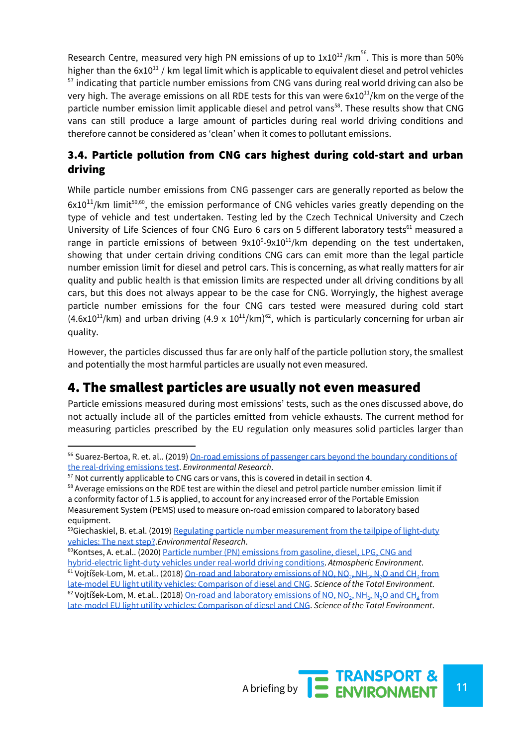Research Centre, measured very high PN emissions of up to 1x10<sup>12</sup>/km<sup>56</sup>. This is more than 50% higher than the  $6x10^{11}$  / km legal limit which is applicable to equivalent diesel and petrol vehicles  $57$  indicating that particle number emissions from CNG vans during real world driving can also be very high. The average emissions on all RDE tests for this van were 6x10 $^{11}$ /km on the verge of the particle number emission limit applicable diesel and petrol vans<sup>58</sup>. These results show that CNG vans can still produce a large amount of particles during real world driving conditions and therefore cannot be considered as 'clean' when it comes to pollutant emissions.

### 3.4. Particle pollution from CNG cars highest during cold-start and urban driving

While particle number emissions from CNG passenger cars are generally reported as below the  $6x10^{11}$ /km limit<sup>59,60</sup>, the emission performance of CNG vehicles varies greatly depending on the type of vehicle and test undertaken. Testing led by the Czech Technical University and Czech University of Life Sciences of four CNG Euro 6 cars on 5 different laboratory tests<sup>61</sup> measured a range in particle emissions of between  $9x10^9 - 9x10^{11}$ /km depending on the test undertaken, showing that under certain driving conditions CNG cars can emit more than the legal particle number emission limit for diesel and petrol cars. This is concerning, as what really matters for air quality and public health is that emission limits are respected under all driving conditions by all cars, but this does not always appear to be the case for CNG. Worryingly, the highest average particle number emissions for the four CNG cars tested were measured during cold start  $(4.6x10^{11}/km)$  and urban driving  $(4.9 \times 10^{11}/km)^{62}$ , which is particularly concerning for urban air quality.

However, the particles discussed thus far are only half of the particle pollution story, the smallest and potentially the most harmful particles are usually not even measured.

## 4. The smallest particles are usually not even measured

Particle emissions measured during most emissions' tests, such as the ones discussed above, do not actually include all of the particles emitted from vehicle exhausts. The current method for measuring particles prescribed by the EU regulation only measures solid particles larger than



<sup>&</sup>lt;sup>56</sup> Suarez-Bertoa, R. et. al.. (2019) On-road emissions of passenger cars beyond the boundary [conditions](https://www.sciencedirect.com/science/article/pii/S001393511930369X) of the [real-driving](https://www.sciencedirect.com/science/article/pii/S001393511930369X) emissions test. *Environmental Research*.

 $57$  Not currently applicable to CNG cars or vans, this is covered in detail in section 4.

<sup>&</sup>lt;sup>58</sup> Average emissions on the RDE test are within the diesel and petrol particle number emission limit if a conformity factor of 1.5 is applied, to account for any increased error of the Portable Emission Measurement System (PEMS) used to measure on-road emission compared to laboratory based equipment.

 $59$ Giechaskiel, B. et.al. (2019) Regulating particle number [measurement](https://reader.elsevier.com/reader/sd/pii/S0013935119300805?token=2C1B7AB19D94B4FB8C9BEBC4FC845E1117297EE7FB718D29BABBD77A7D14B35672261A95B4644FC7BBF278BD19B9B684) from the tailpipe of light-duty [vehicles:](https://reader.elsevier.com/reader/sd/pii/S0013935119300805?token=2C1B7AB19D94B4FB8C9BEBC4FC845E1117297EE7FB718D29BABBD77A7D14B35672261A95B4644FC7BBF278BD19B9B684) The next step?.*Environmental Research*.

<sup>&</sup>lt;sup>60</sup>Kontses, A. et.al.. (2020) Particle number (PN) [emissions](https://www.sciencedirect.com/science/article/abs/pii/S1352231019307654) from gasoline. diesel. LPG. CNG and [hybrid-electric](https://www.sciencedirect.com/science/article/abs/pii/S1352231019307654) light-duty vehicles under real-world driving conditions. *Atmospheric Environment*.

 $^{61}$  Vojtíšek-Lom, M. et.al.. (2018) <u>On-road and [laboratory](https://www.researchgate.net/publication/321018706_On-road_and_laboratory_emissions_of_NO_NO2_NH3_N2O_and_CH4_from_late-model_EU_light_utility_vehicles_Comparison_of_diesel_and_CNG) emissions of NO, NO<sub>[2](https://www.researchgate.net/publication/321018706_On-road_and_laboratory_emissions_of_NO_NO2_NH3_N2O_and_CH4_from_late-model_EU_light_utility_vehicles_Comparison_of_diesel_and_CNG)</sub>, [NH](https://www.researchgate.net/publication/321018706_On-road_and_laboratory_emissions_of_NO_NO2_NH3_N2O_and_CH4_from_late-model_EU_light_utility_vehicles_Comparison_of_diesel_and_CNG)<sub>[3](https://www.researchgate.net/publication/321018706_On-road_and_laboratory_emissions_of_NO_NO2_NH3_N2O_and_CH4_from_late-model_EU_light_utility_vehicles_Comparison_of_diesel_and_CNG)</sub>, [N](https://www.researchgate.net/publication/321018706_On-road_and_laboratory_emissions_of_NO_NO2_NH3_N2O_and_CH4_from_late-model_EU_light_utility_vehicles_Comparison_of_diesel_and_CNG)<sub>2</sub>O [and](https://www.researchgate.net/publication/321018706_On-road_and_laboratory_emissions_of_NO_NO2_NH3_N2O_and_CH4_from_late-model_EU_light_utility_vehicles_Comparison_of_diesel_and_CNG) CH<sub>[4](https://www.researchgate.net/publication/321018706_On-road_and_laboratory_emissions_of_NO_NO2_NH3_N2O_and_CH4_from_late-model_EU_light_utility_vehicles_Comparison_of_diesel_and_CNG)</sub> [from](https://www.researchgate.net/publication/321018706_On-road_and_laboratory_emissions_of_NO_NO2_NH3_N2O_and_CH4_from_late-model_EU_light_utility_vehicles_Comparison_of_diesel_and_CNG)</u> late-model EU light utility vehicles: [Comparison](https://www.researchgate.net/publication/321018706_On-road_and_laboratory_emissions_of_NO_NO2_NH3_N2O_and_CH4_from_late-model_EU_light_utility_vehicles_Comparison_of_diesel_and_CNG) of diesel and CNG. *Science of the Total Environment*.

 $^{62}$  $^{62}$  $^{62}$  Vojtíšek-Lom, M. et.al.. (2018) <u>On-road and [laboratory](https://www.researchgate.net/publication/321018706_On-road_and_laboratory_emissions_of_NO_NO2_NH3_N2O_and_CH4_from_late-model_EU_light_utility_vehicles_Comparison_of_diesel_and_CNG) emissions of NO, NO<sub>2</sub>, [NH](https://www.researchgate.net/publication/321018706_On-road_and_laboratory_emissions_of_NO_NO2_NH3_N2O_and_CH4_from_late-model_EU_light_utility_vehicles_Comparison_of_diesel_and_CNG)<sub>[3](https://www.researchgate.net/publication/321018706_On-road_and_laboratory_emissions_of_NO_NO2_NH3_N2O_and_CH4_from_late-model_EU_light_utility_vehicles_Comparison_of_diesel_and_CNG)</sub>, [N](https://www.researchgate.net/publication/321018706_On-road_and_laboratory_emissions_of_NO_NO2_NH3_N2O_and_CH4_from_late-model_EU_light_utility_vehicles_Comparison_of_diesel_and_CNG)<sub>2</sub>O [and](https://www.researchgate.net/publication/321018706_On-road_and_laboratory_emissions_of_NO_NO2_NH3_N2O_and_CH4_from_late-model_EU_light_utility_vehicles_Comparison_of_diesel_and_CNG) CH<u>[4](https://www.researchgate.net/publication/321018706_On-road_and_laboratory_emissions_of_NO_NO2_NH3_N2O_and_CH4_from_late-model_EU_light_utility_vehicles_Comparison_of_diesel_and_CNG)</u> [from](https://www.researchgate.net/publication/321018706_On-road_and_laboratory_emissions_of_NO_NO2_NH3_N2O_and_CH4_from_late-model_EU_light_utility_vehicles_Comparison_of_diesel_and_CNG)</u> late-model EU light utility vehicles: [Comparison](https://www.researchgate.net/publication/321018706_On-road_and_laboratory_emissions_of_NO_NO2_NH3_N2O_and_CH4_from_late-model_EU_light_utility_vehicles_Comparison_of_diesel_and_CNG) of diesel and CNG. *Science of the Total Environment*.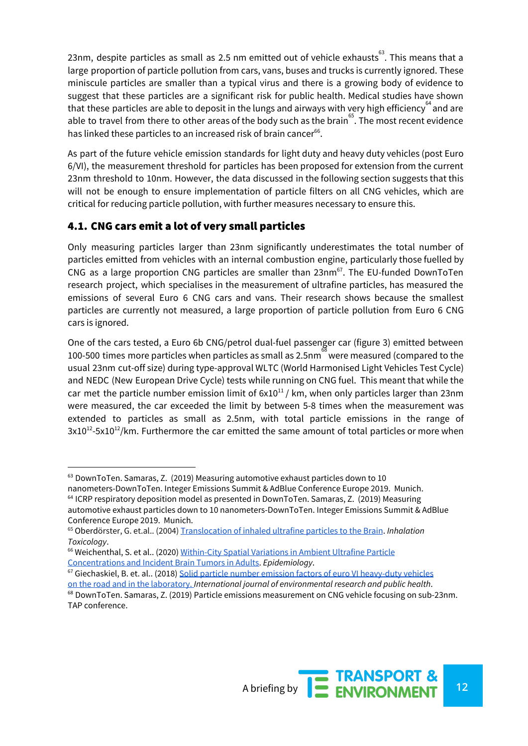23nm, despite particles as small as 2.5 nm emitted out of vehicle exhausts $^{\rm 63}$ . This means that a large proportion of particle pollution from cars, vans, buses and trucks is currently ignored. These miniscule particles are smaller than a typical virus and there is a growing body of evidence to suggest that these particles are a significant risk for public health. Medical studies have shown that these particles are able to deposit in the lungs and airways with very high efficiency  $a_{\text{rad}}$  and are able to travel from there to other areas of the body such as the brain<sup>65</sup>. The most recent evidence has linked these particles to an increased risk of brain cancer<sup>66</sup>.

As part of the future vehicle emission standards for light duty and heavy duty vehicles (post Euro 6/VI), the measurement threshold for particles has been proposed for extension from the current 23nm threshold to 10nm. However, the data discussed in the following section suggests that this will not be enough to ensure implementation of particle filters on all CNG vehicles, which are critical for reducing particle pollution, with further measures necessary to ensure this.

### 4.1. CNG cars emit a lot of very small particles

Only measuring particles larger than 23nm significantly underestimates the total number of particles emitted from vehicles with an internal combustion engine, particularly those fuelled by CNG as a large proportion CNG particles are smaller than  $23$ nm<sup>67</sup>. The EU-funded DownToTen research project, which specialises in the measurement of ultrafine particles, has measured the emissions of several Euro 6 CNG cars and vans. Their research shows because the smallest particles are currently not measured, a large proportion of particle pollution from Euro 6 CNG cars is ignored.

One of the cars tested, a Euro 6b CNG/petrol dual-fuel passenger car (figure 3) emitted between 100-500 times more particles when particles as small as 2.5nm $^\mathbb{8}$  were measured (compared to the usual 23nm cut-off size) during type-approval WLTC (World Harmonised Light Vehicles Test Cycle) and NEDC (New European Drive Cycle) tests while running on CNG fuel. This meant that while the car met the particle number emission limit of  $6x10^{11}$  / km, when only particles larger than 23nm were measured, the car exceeded the limit by between 5-8 times when the measurement was extended to particles as small as 2.5nm, with total particle emissions in the range of  $3x10^{12}$ -5x10<sup>12</sup>/km. Furthermore the car emitted the same amount of total particles or more when

<sup>63</sup> DownToTen. Samaras, Z. (2019) Measuring automotive exhaust particles down to 10 nanometers-DownToTen. Integer Emissions Summit & AdBlue Conference Europe 2019. Munich.

 $<sup>64</sup>$  ICRP respiratory deposition model as presented in DownToTen. Samaras, Z. (2019) Measuring</sup> automotive exhaust particles down to 10 nanometers-DownToTen. Integer Emissions Summit & AdBlue Conference Europe 2019. Munich.

<sup>65</sup> Oberdörster, G. et.al.. (2004) [Translocation](https://www.researchgate.net/publication/8502799_Translocation_of_Inhaled_Ultrafine_Particles_to_the_Brain) of inhaled ultrafine particles to the Brain. *Inhalation Toxicology*.

<sup>&</sup>lt;sup>66</sup> Weichenthal, S. et al.. (2020) [Within-City](https://journals.lww.com/epidem/Fulltext/2020/03000/Within_city_Spatial_Variations_in_Ambient.4.aspx) Spatial Variations in Ambient Ultrafine Particle [Concentrations](https://journals.lww.com/epidem/Fulltext/2020/03000/Within_city_Spatial_Variations_in_Ambient.4.aspx) and Incident Brain Tumors in Adults. *Epidemiology*.

<sup>67</sup> Giechaskiel, B. et. al.. (2018) Solid particle number emission factors of euro VI [heavy-duty](https://www.ncbi.nlm.nih.gov/pubmed/29425174) vehicles on the road and in the [laboratory.](https://www.ncbi.nlm.nih.gov/pubmed/29425174) *International journal of environmental research and public health*.

<sup>68</sup> DownToTen. Samaras, Z. (2019) Particle emissions measurement on CNG vehicle focusing on sub-23nm. TAP conference.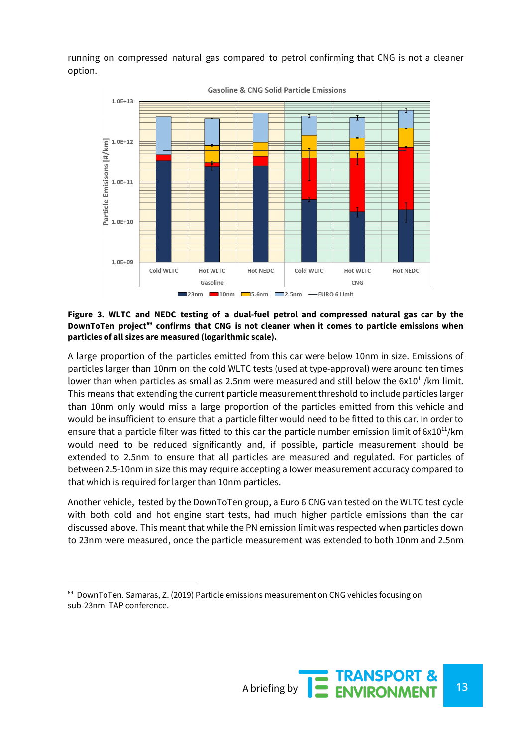running on compressed natural gas compared to petrol confirming that CNG is not a cleaner option.



**Gasoline & CNG Solid Particle Emissions** 

#### **Figure 3. WLTC and NEDC testing of a dual-fuel petrol and compressed natural gas car by the** DownToTen project<sup>69</sup> confirms that CNG is not cleaner when it comes to particle emissions when **particles of all sizes are measured (logarithmic scale).**

A large proportion of the particles emitted from this car were below 10nm in size. Emissions of particles larger than 10nm on the cold WLTC tests (used at type-approval) were around ten times lower than when particles as small as 2.5nm were measured and still below the  $6x10^{11}/km$  limit. This means that extending the current particle measurement threshold to include particles larger than 10nm only would miss a large proportion of the particles emitted from this vehicle and would be insufficient to ensure that a particle filter would need to be fitted to this car. In order to ensure that a particle filter was fitted to this car the particle number emission limit of  $6x10^{11}/km$ would need to be reduced significantly and, if possible, particle measurement should be extended to 2.5nm to ensure that all particles are measured and regulated. For particles of between 2.5-10nm in size this may require accepting a lower measurement accuracy compared to that which is required for larger than 10nm particles.

Another vehicle, tested by the DownToTen group, a Euro 6 CNG van tested on the WLTC test cycle with both cold and hot engine start tests, had much higher particle emissions than the car discussed above. This meant that while the PN emission limit was respected when particles down to 23nm were measured, once the particle measurement was extended to both 10nm and 2.5nm

 $69$  DownToTen. Samaras, Z. (2019) Particle emissions measurement on CNG vehicles focusing on sub-23nm. TAP conference.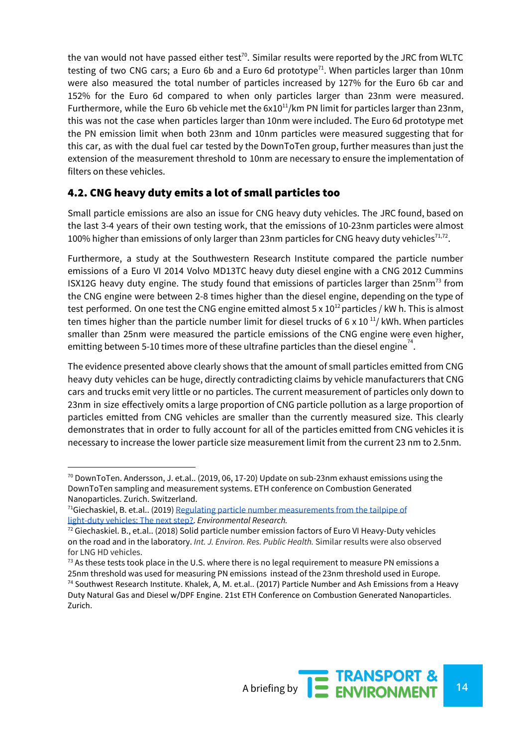the van would not have passed either test<sup>70</sup>. Similar results were reported by the JRC from WLTC testing of two CNG cars; a Euro 6b and a Euro 6d prototype<sup>71</sup>. When particles larger than 10nm were also measured the total number of particles increased by 127% for the Euro 6b car and 152% for the Euro 6d compared to when only particles larger than 23nm were measured. Furthermore, while the Euro 6b vehicle met the  $6x10^{11}/km$  PN limit for particles larger than 23nm, this was not the case when particles larger than 10nm were included. The Euro 6d prototype met the PN emission limit when both 23nm and 10nm particles were measured suggesting that for this car, as with the dual fuel car tested by the DownToTen group, further measures than just the extension of the measurement threshold to 10nm are necessary to ensure the implementation of filters on these vehicles.

#### 4.2. CNG heavy duty emits a lot of small particles too

Small particle emissions are also an issue for CNG heavy duty vehicles. The JRC found, based on the last 3-4 years of their own testing work, that the emissions of 10-23nm particles were almost 100% higher than emissions of only larger than 23nm particles for CNG heavy duty vehicles<sup>71,72</sup>.

Furthermore, a study at the Southwestern Research Institute compared the particle number emissions of a Euro VI 2014 Volvo MD13TC heavy duty diesel engine with a CNG 2012 Cummins ISX12G heavy duty engine. The study found that emissions of particles larger than 25nm<sup>73</sup> from the CNG engine were between 2-8 times higher than the diesel engine, depending on the type of test performed. On one test the CNG engine emitted almost 5 x  $10^{12}$  particles / kW h. This is almost ten times higher than the particle number limit for diesel trucks of 6 x 10 $\rm ^{11}$ / kWh. When particles smaller than 25nm were measured the particle emissions of the CNG engine were even higher, emitting between 5-10 times more of these ultrafine particles than the diesel engine  $^{\text{74}}$ .

The evidence presented above clearly shows that the amount of small particles emitted from CNG heavy duty vehicles can be huge, directly contradicting claims by vehicle manufacturers that CNG cars and trucks emit very little or no particles. The current measurement of particles only down to 23nm in size effectively omits a large proportion of CNG particle pollution as a large proportion of particles emitted from CNG vehicles are smaller than the currently measured size. This clearly demonstrates that in order to fully account for all of the particles emitted from CNG vehicles it is necessary to increase the lower particle size measurement limit from the current 23 nm to 2.5nm.

 $70$  DownToTen. Andersson, J. et.al.. (2019, 06, 17-20) Update on sub-23nm exhaust emissions using the DownToTen sampling and measurement systems. ETH conference on Combustion Generated Nanoparticles. Zurich. Switzerland.

 $<sup>71</sup>$ Giechaskiel, B. et.al.. (2019) Regulating particle number [measurements](https://reader.elsevier.com/reader/sd/pii/S0013935119300805?token=EBF3BD393EA262D8106A41EE9D0BFF0E1337FE4775AB0E8E98C7484333E811609B907C840D56F2ED4BE6F46541A41B97) from the tailpipe of</sup> [light-duty](https://reader.elsevier.com/reader/sd/pii/S0013935119300805?token=EBF3BD393EA262D8106A41EE9D0BFF0E1337FE4775AB0E8E98C7484333E811609B907C840D56F2ED4BE6F46541A41B97) vehicles: The next step?. *Environmental Research.*

<sup>72</sup> Giechaskiel. B., et.al.. (2018) Solid particle number emission factors of Euro VI Heavy-Duty vehicles on the road and in the laboratory. *Int. J. Environ. Res. Public Health.* Similar results were also observed for LNG HD vehicles.

 $^{73}$  As these tests took place in the U.S. where there is no legal requirement to measure PN emissions a 25nm threshold was used for measuring PN emissions instead of the 23nm threshold used in Europe. <sup>74</sup> Southwest Research Institute. Khalek, A, M. et.al.. (2017) Particle Number and Ash Emissions from a Heavy Duty Natural Gas and Diesel w/DPF Engine. 21st ETH Conference on Combustion Generated Nanoparticles. Zurich.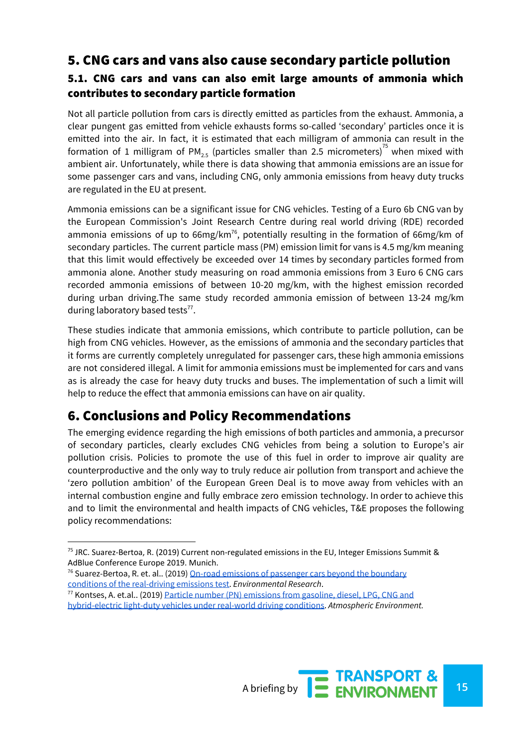### 5. CNG cars and vans also cause secondary particle pollution

### 5.1. CNG cars and vans can also emit large amounts of ammonia which contributes to secondary particle formation

Not all particle pollution from cars is directly emitted as particles from the exhaust. Ammonia, a clear pungent gas emitted from vehicle exhausts forms so-called 'secondary' particles once it is emitted into the air. In fact, it is estimated that each milligram of ammonia can result in the formation of 1 milligram of PM<sub>2.5</sub> (particles smaller than 2.5 micrometers)<sup>75</sup> when mixed with ambient air. Unfortunately, while there is data showing that ammonia emissions are an issue for some passenger cars and vans, including CNG, only ammonia emissions from heavy duty trucks are regulated in the EU at present.

Ammonia emissions can be a significant issue for CNG vehicles. Testing of a Euro 6b CNG van by the European Commission's Joint Research Centre during real world driving (RDE) recorded ammonia emissions of up to 66mg/km<sup>76</sup>, potentially resulting in the formation of 66mg/km of secondary particles. The current particle mass (PM) emission limit for vans is 4.5 mg/km meaning that this limit would effectively be exceeded over 14 times by secondary particles formed from ammonia alone. Another study measuring on road ammonia emissions from 3 Euro 6 CNG cars recorded ammonia emissions of between 10-20 mg/km, with the highest emission recorded during urban driving.The same study recorded ammonia emission of between 13-24 mg/km during laboratory based tests $^{77}$ .

These studies indicate that ammonia emissions, which contribute to particle pollution, can be high from CNG vehicles. However, as the emissions of ammonia and the secondary particles that it forms are currently completely unregulated for passenger cars, these high ammonia emissions are not considered illegal. A limit for ammonia emissions must be implemented for cars and vans as is already the case for heavy duty trucks and buses. The implementation of such a limit will help to reduce the effect that ammonia emissions can have on air quality.

### 6. Conclusions and Policy Recommendations

The emerging evidence regarding the high emissions of both particles and ammonia, a precursor of secondary particles, clearly excludes CNG vehicles from being a solution to Europe's air pollution crisis. Policies to promote the use of this fuel in order to improve air quality are counterproductive and the only way to truly reduce air pollution from transport and achieve the 'zero pollution ambition' of the European Green Deal is to move away from vehicles with an internal combustion engine and fully embrace zero emission technology. In order to achieve this and to limit the environmental and health impacts of CNG vehicles, T&E proposes the following policy recommendations:



<sup>&</sup>lt;sup>75</sup> JRC. Suarez-Bertoa, R. (2019) Current non-regulated emissions in the EU, Integer Emissions Summit & AdBlue Conference Europe 2019. Munich.

 $76$  Suarez-Bertoa, R. et. al.. (2019) On-road emissions of [passenger](https://www.sciencedirect.com/science/article/pii/S001393511930369X) cars beyond the boundary conditions of the [real-driving](https://www.sciencedirect.com/science/article/pii/S001393511930369X) emissions test. *Environmental Research*.

<sup>77</sup> Kontses, A. et.al.. (2019) Particle number (PN) [emissions](https://www.sciencedirect.com/science/article/abs/pii/S1352231019307654) from gasoline, diesel, LPG, CNG and [hybrid-electric](https://www.sciencedirect.com/science/article/abs/pii/S1352231019307654) light-duty vehicles under real-world driving conditions. *Atmospheric Environment.*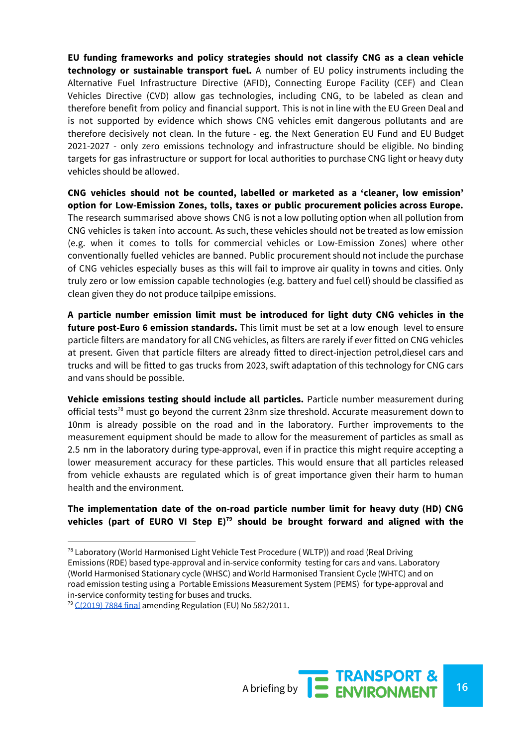**EU funding frameworks and policy strategies should not classify CNG as a clean vehicle technology or sustainable transport fuel.** A number of EU policy instruments including the Alternative Fuel Infrastructure Directive (AFID), Connecting Europe Facility (CEF) and Clean Vehicles Directive (CVD) allow gas technologies, including CNG, to be labeled as clean and therefore benefit from policy and financial support. This is not in line with the EU Green Deal and is not supported by evidence which shows CNG vehicles emit dangerous pollutants and are therefore decisively not clean. In the future - eg. the Next Generation EU Fund and EU Budget 2021-2027 - only zero emissions technology and infrastructure should be eligible. No binding targets for gas infrastructure or support for local authorities to purchase CNG light or heavy duty vehicles should be allowed.

**CNG vehicles should not be counted, labelled or marketed as a 'cleaner, low emission' option for Low-Emission Zones, tolls, taxes or public procurement policies across Europe.** The research summarised above shows CNG is not a low polluting option when all pollution from CNG vehicles is taken into account. As such, these vehicles should not be treated as low emission (e.g. when it comes to tolls for commercial vehicles or Low-Emission Zones) where other conventionally fuelled vehicles are banned. Public procurement should not include the purchase of CNG vehicles especially buses as this will fail to improve air quality in towns and cities. Only truly zero or low emission capable technologies (e.g. battery and fuel cell) should be classified as clean given they do not produce tailpipe emissions.

**A particle number emission limit must be introduced for light duty CNG vehicles in the future post-Euro 6 emission standards.** This limit must be set at a low enough level to ensure particle filters are mandatory for all CNG vehicles, as filters are rarely if ever fitted on CNG vehicles at present. Given that particle filters are already fitted to direct-injection petrol,diesel cars and trucks and will be fitted to gas trucks from 2023, swift adaptation of this technology for CNG cars and vans should be possible.

**Vehicle emissions testing should include all particles.** Particle number measurement during official tests<sup>78</sup> must go beyond the current 23nm size threshold. Accurate measurement down to 10nm is already possible on the road and in the laboratory. Further improvements to the measurement equipment should be made to allow for the measurement of particles as small as 2.5 nm in the laboratory during type-approval, even if in practice this might require accepting a lower measurement accuracy for these particles. This would ensure that all particles released from vehicle exhausts are regulated which is of great importance given their harm to human health and the environment.

#### **The implementation date of the on-road particle number limit for heavy duty (HD) CNG vehicles (part of EURO VI Step E) should be brought forward and aligned with the 79**



 $78$  Laboratory (World Harmonised Light Vehicle Test Procedure (WLTP)) and road (Real Driving Emissions (RDE) based type-approval and in-service conformity testing for cars and vans. Laboratory (World Harmonised Stationary cycle (WHSC) and World Harmonised Transient Cycle (WHTC) and on road emission testing using a Portable Emissions Measurement System (PEMS) for type-approval and in-service conformity testing for buses and trucks.

 $79$  [C\(2019\)](https://ec.europa.eu/info/law/better-regulation/have-your-say/initiatives/11814-Amendment-to-the-emissions-type-approval-testing-for-heavy-duty-vehicles-with-portable-emissions-measurement-systems) 7884 final amending Regulation (EU) No 582/2011.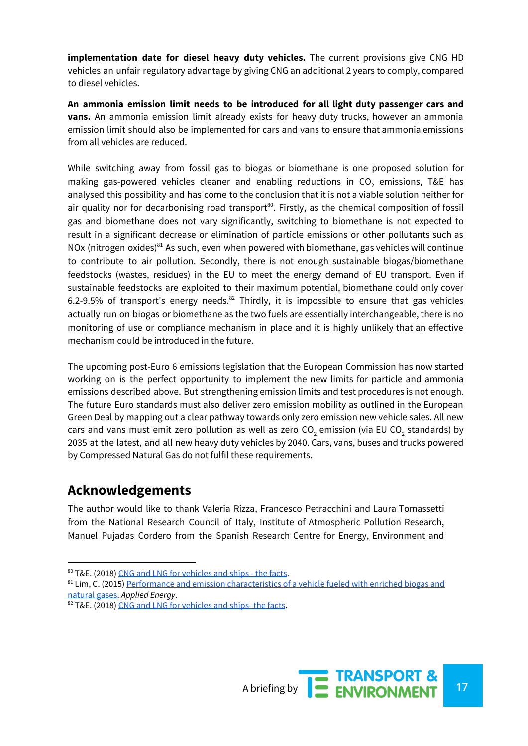**implementation date for diesel heavy duty vehicles.** The current provisions give CNG HD vehicles an unfair regulatory advantage by giving CNG an additional 2 years to comply, compared to diesel vehicles.

**An ammonia emission limit needs to be introduced for all light duty passenger cars and vans.** An ammonia emission limit already exists for heavy duty trucks, however an ammonia emission limit should also be implemented for cars and vans to ensure that ammonia emissions from all vehicles are reduced.

While switching away from fossil gas to biogas or biomethane is one proposed solution for making gas-powered vehicles cleaner and enabling reductions in  $CO<sub>2</sub>$  emissions, T&E has analysed this possibility and has come to the conclusion that it is not a viable solution neither for air quality nor for decarbonising road transport<sup>80</sup>. Firstly, as the chemical composition of fossil gas and biomethane does not vary significantly, switching to biomethane is not expected to result in a significant decrease or elimination of particle emissions or other pollutants such as NOx (nitrogen oxides) $81$  As such, even when powered with biomethane, gas vehicles will continue to contribute to air pollution. Secondly, there is not enough sustainable biogas/biomethane feedstocks (wastes, residues) in the EU to meet the energy demand of EU transport. Even if sustainable feedstocks are exploited to their maximum potential, biomethane could only cover 6.2-9.5% of transport's energy needs. $^{82}$  Thirdly, it is impossible to ensure that gas vehicles actually run on biogas or biomethane as the two fuels are essentially interchangeable, there is no monitoring of use or compliance mechanism in place and it is highly unlikely that an effective mechanism could be introduced in the future.

The upcoming post-Euro 6 emissions legislation that the European Commission has now started working on is the perfect opportunity to implement the new limits for particle and ammonia emissions described above. But strengthening emission limits and test procedures is not enough. The future Euro standards must also deliver zero emission mobility as outlined in the European Green Deal by mapping out a clear pathway towards only zero emission new vehicle sales. All new cars and vans must emit zero pollution as well as zero  $CO<sub>2</sub>$  emission (via EU CO<sub>2</sub> standards) by 2035 at the latest, and all new heavy duty vehicles by 2040. Cars, vans, buses and trucks powered by Compressed Natural Gas do not fulfil these requirements.

### **Acknowledgements**

The author would like to thank Valeria Rizza, Francesco Petracchini and Laura Tomassetti from the National Research Council of Italy, Institute of Atmospheric Pollution Research, Manuel Pujadas Cordero from the Spanish Research Centre for Energy, Environment and



<sup>80</sup> T&E. (2018) CNG and LNG for [vehicles](https://www.transportenvironment.org/sites/te/files/publications/2018_10_TE_CNG_and_LNG_for_vehicles_and_ships_the_facts_EN.pdf) and ships - the facts.

<sup>&</sup>lt;sup>81</sup> Lim, C. (2015) Performance and emission [characteristics](https://www.sciencedirect.com/science/article/abs/pii/S0306261914011349) of a vehicle fueled with enriched biogas and [natural](https://www.sciencedirect.com/science/article/abs/pii/S0306261914011349) gases. *Applied Energy*.

<sup>82</sup> T&E. (2018) CNG and LNG for [vehicles](https://www.transportenvironment.org/sites/te/files/publications/2018_10_TE_CNG_and_LNG_for_vehicles_and_ships_the_facts_EN.pdf) and ships- the facts.